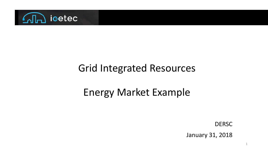

#### Grid Integrated Resources

### Energy Market Example

**DERSC** 

January 31, 2018

1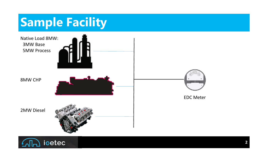# **Sample Facility**



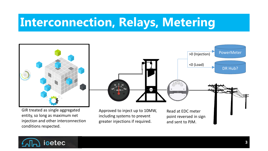# **Interconnection, Relays, Metering**



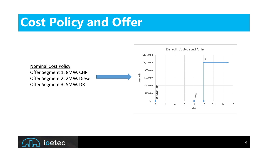# **Cost Policy and Offer**



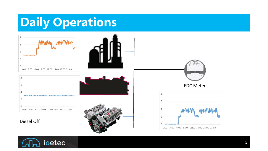# **Daily Operations**



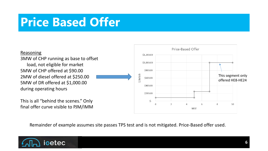## **Price Based Offer**



Remainder of example assumes site passes TPS test and is not mitigated. Price-Based offer used.

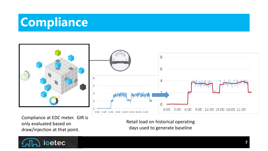# **Compliance**



Compliance at EDC meter. GIR is only evaluated based on draw/injection at that point.

Retail load on historical operating days used to generate baseline

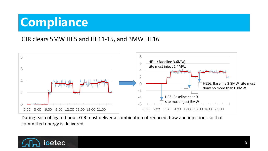# **Compliance**

#### GIR clears 5MW HE5 and HE11-15, and 3MW HE16



During each obligated hour, GIR must deliver a combination of reduced draw and injections so that committed energy is delivered.

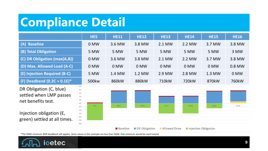# **Compliance Detail**

|                                                                                                                | HE5               | <b>HE11</b>     | <b>HE12</b>   | <b>HE13</b>  | <b>HE14</b>          | <b>HE15</b> | <b>HE16</b> |
|----------------------------------------------------------------------------------------------------------------|-------------------|-----------------|---------------|--------------|----------------------|-------------|-------------|
| (A) Baseline                                                                                                   | 0 MW              | 3.6 MW          | 3.8 MW        | 2.1 MW       | 2.2 MW               | 3.7 MW      | 3.8 MW      |
| (B) Total Obligation                                                                                           | 5 MW              | 5 MW            | 5 MW          | 5 MW         | 5 MW                 | 5 MW        | 3 MW        |
| (C) DR Obligation (max(A,B))                                                                                   | 0 MW              | 3.6 MW          | 3.8 MW        | 2.1 MW       | 2.2 MW               | 3.7 MW      | 3.8 MW      |
| (D) Max. Allowed Load (A-C)                                                                                    | 0 MW              | 0 MW            | 0 MW          | 0 MW         | 0 MW                 | 0 MW        | 0.8 MW      |
| (E) Injection Required (B-C)                                                                                   | 5 MW              | 1.4 MW          | 1.2 MW        | 2.9 MW       | 2.8 MW               | 1.3 MW      | 0 MW        |
| (F) Deadband $(0.2C + 0.1E)^*$                                                                                 | 500kw             | 860kW           | 880kW         | 710kW        | 720kW                | 870kW       | 760kW       |
| DR Obligation (C, blue)<br>4.0<br>3.0<br>settled when LMP passes<br>1.0<br>net benefits test.<br>0.0<br>$-1.0$ | 5.0<br>2.0<br>HE5 | <b>HE11</b>     | <b>HE12</b>   | <b>HE13</b>  | <b>HE14</b>          | <b>HE15</b> | <b>HE16</b> |
| $-2.0$<br>Injection obligation (E,<br>$-3.0$<br>$-4.0$<br>green) settled at all times.<br>$-6.0$               | $-5.0$            | <b>Baseline</b> | DR Obligation | Allowed Draw | Injection Obligation |             |             |

\*The 5MW minimum BOR deadband still applies. Since values in this example are less than 5MW, that minimum would be used instead.

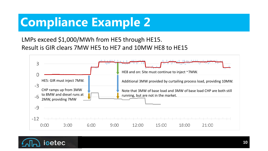# **Compliance Example 2**

LMPs exceed \$1,000/MWh from HE5 through HE15. Result is GIR clears 7MW HE5 to HE7 and 10MW HE8 to HE15